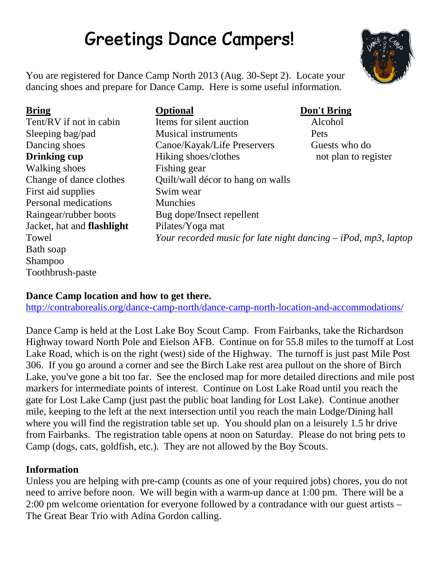# **Greetings Dance Campers!**



You are registered for Dance Camp North 2013 (Aug. 30-Sept 2). Locate your dancing shoes and prepare for Dance Camp. Here is some useful information.

Walking shoes Fishing gear First aid supplies Swim wear Personal medications Munchies Jacket, hat and **flashlight** Pilates/Yoga mat Towel *Your recorded music for late night dancing – iPod, mp3, laptop* Bath soap Shampoo Toothbrush-paste

## **Bring Optional Don't Bring** Tent/RV if not in cabin Items for silent auction Alcohol Sleeping bag/pad Musical instruments Pets Dancing shoes Canoe/Kayak/Life Preservers Guests who do **Drinking cup** Hiking shoes/clothes not plan to register Change of dance clothes Quilt/wall décor to hang on walls Raingear/rubber boots Bug dope/Insect repellent

## **Dance Camp location and how to get there.**

http://contraborealis.org/dance-camp-north/dance-camp-north-location-and-accommodations/

Dance Camp is held at the Lost Lake Boy Scout Camp. From Fairbanks, take the Richardson Highway toward North Pole and Eielson AFB. Continue on for 55.8 miles to the turnoff at Lost Lake Road, which is on the right (west) side of the Highway. The turnoff is just past Mile Post 306. If you go around a corner and see the Birch Lake rest area pullout on the shore of Birch Lake, you've gone a bit too far. See the enclosed map for more detailed directions and mile post markers for intermediate points of interest. Continue on Lost Lake Road until you reach the gate for Lost Lake Camp (just past the public boat landing for Lost Lake). Continue another mile, keeping to the left at the next intersection until you reach the main Lodge/Dining hall where you will find the registration table set up. You should plan on a leisurely 1.5 hr drive from Fairbanks. The registration table opens at noon on Saturday. Please do not bring pets to Camp (dogs, cats, goldfish, etc.). They are not allowed by the Boy Scouts.

## **Information**

Unless you are helping with pre-camp (counts as one of your required jobs) chores, you do not need to arrive before noon. We will begin with a warm-up dance at 1:00 pm. There will be a 2:00 pm welcome orientation for everyone followed by a contradance with our guest artists – The Great Bear Trio with Adina Gordon calling.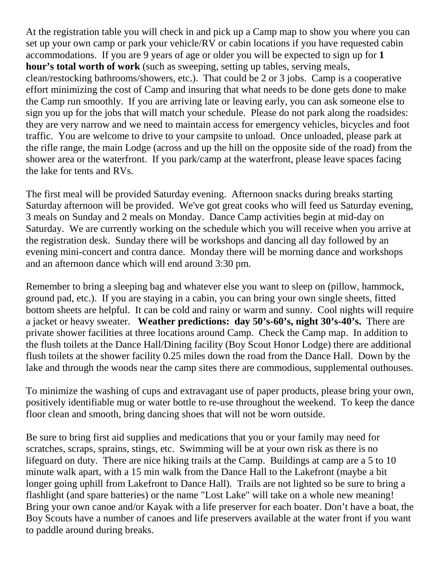At the registration table you will check in and pick up a Camp map to show you where you can set up your own camp or park your vehicle/RV or cabin locations if you have requested cabin accommodations. If you are 9 years of age or older you will be expected to sign up for **1 hour's total worth of work** (such as sweeping, setting up tables, serving meals, clean/restocking bathrooms/showers, etc.). That could be 2 or 3 jobs. Camp is a cooperative effort minimizing the cost of Camp and insuring that what needs to be done gets done to make the Camp run smoothly. If you are arriving late or leaving early, you can ask someone else to sign you up for the jobs that will match your schedule. Please do not park along the roadsides: they are very narrow and we need to maintain access for emergency vehicles, bicycles and foot traffic. You are welcome to drive to your campsite to unload. Once unloaded, please park at the rifle range, the main Lodge (across and up the hill on the opposite side of the road) from the shower area or the waterfront. If you park/camp at the waterfront, please leave spaces facing the lake for tents and RVs.

The first meal will be provided Saturday evening. Afternoon snacks during breaks starting Saturday afternoon will be provided. We've got great cooks who will feed us Saturday evening, 3 meals on Sunday and 2 meals on Monday. Dance Camp activities begin at mid-day on Saturday. We are currently working on the schedule which you will receive when you arrive at the registration desk. Sunday there will be workshops and dancing all day followed by an evening mini-concert and contra dance. Monday there will be morning dance and workshops and an afternoon dance which will end around 3:30 pm.

Remember to bring a sleeping bag and whatever else you want to sleep on (pillow, hammock, ground pad, etc.). If you are staying in a cabin, you can bring your own single sheets, fitted bottom sheets are helpful. It can be cold and rainy or warm and sunny. Cool nights will require a jacket or heavy sweater. **Weather predictions: day 50's-60's, night 30's-40's.** There are private shower facilities at three locations around Camp. Check the Camp map. In addition to the flush toilets at the Dance Hall/Dining facility (Boy Scout Honor Lodge) there are additional flush toilets at the shower facility 0.25 miles down the road from the Dance Hall. Down by the lake and through the woods near the camp sites there are commodious, supplemental outhouses.

To minimize the washing of cups and extravagant use of paper products, please bring your own, positively identifiable mug or water bottle to re-use throughout the weekend. To keep the dance floor clean and smooth, bring dancing shoes that will not be worn outside.

Be sure to bring first aid supplies and medications that you or your family may need for scratches, scraps, sprains, stings, etc. Swimming will be at your own risk as there is no lifeguard on duty. There are nice hiking trails at the Camp. Buildings at camp are a 5 to 10 minute walk apart, with a 15 min walk from the Dance Hall to the Lakefront (maybe a bit longer going uphill from Lakefront to Dance Hall). Trails are not lighted so be sure to bring a flashlight (and spare batteries) or the name "Lost Lake" will take on a whole new meaning! Bring your own canoe and/or Kayak with a life preserver for each boater. Don't have a boat, the Boy Scouts have a number of canoes and life preservers available at the water front if you want to paddle around during breaks.